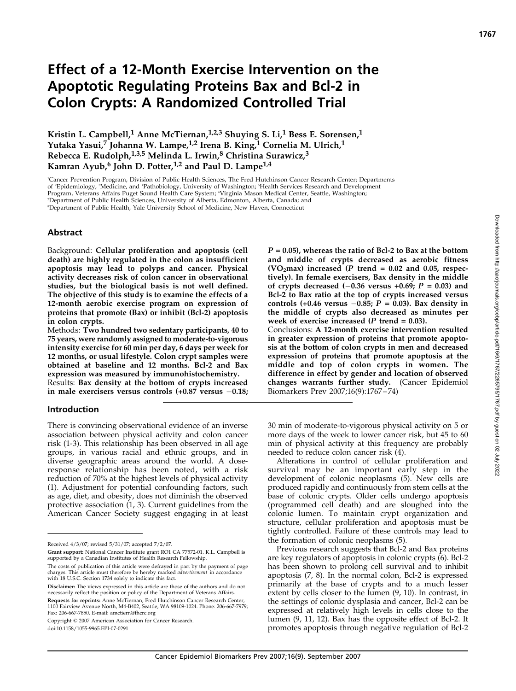# Effect of a 12-Month Exercise Intervention on the Apoptotic Regulating Proteins Bax and Bcl-2 in Colon Crypts: A Randomized Controlled Trial

Kristin L. Campbell,<sup>1</sup> Anne McTiernan,<sup>1,2,3</sup> Shuying S. Li,<sup>1</sup> Bess E. Sorensen,<sup>1</sup> Yutaka Yasui,<sup>7</sup> Johanna W. Lampe,<sup>1,2</sup> Irena B. King,<sup>1</sup> Cornelia M. Ulrich,<sup>1</sup> Rebecca E. Rudolph,<sup>1,3,5</sup> Melinda L. Irwin,<sup>8</sup> Christina Surawicz,<sup>3</sup> Kamran Ayub,<sup>6</sup> John D. Potter,<sup>1,2</sup> and Paul D. Lampe<sup>1,4</sup>

1 Cancer Prevention Program, Division of Public Health Sciences, The Fred Hutchinson Cancer Research Center; Departments of <sup>2</sup>Epidemiology, <sup>3</sup>Medicine, and 'Pathobiology, University of Washington; <sup>5</sup>Health Services Research and Development Program, Veterans Affairs Puget Sound Health Care System; <sup>6</sup> Virginia Mason Medical Center, Seattle, Washington; 7 Department of Public Health Sciences, University of Alberta, Edmonton, Alberta, Canada; and

8 Department of Public Health, Yale University School of Medicine, New Haven, Connecticut

#### Abstract

Background: Cellular proliferation and apoptosis (cell death) are highly regulated in the colon as insufficient apoptosis may lead to polyps and cancer. Physical activity decreases risk of colon cancer in observational studies, but the biological basis is not well defined. The objective of this study is to examine the effects of a 12-month aerobic exercise program on expression of proteins that promote (Bax) or inhibit (Bcl-2) apoptosis in colon crypts.

Methods: Two hundred two sedentary participants, 40 to 75 years, were randomly assigned to moderate-to-vigorous intensity exercise for 60 min per day, 6 days per week for 12 months, or usual lifestyle. Colon crypt samples were obtained at baseline and 12 months. Bcl-2 and Bax expression was measured by immunohistochemistry.

Results: Bax density at the bottom of crypts increased in male exercisers versus controls  $(+0.87 \text{ versus } -0.18;$ 

#### Introduction

There is convincing observational evidence of an inverse association between physical activity and colon cancer risk (1-3). This relationship has been observed in all age groups, in various racial and ethnic groups, and in diverse geographic areas around the world. A doseresponse relationship has been noted, with a risk reduction of 70% at the highest levels of physical activity (1). Adjustment for potential confounding factors, such as age, diet, and obesity, does not diminish the observed protective association (1, 3). Current guidelines from the American Cancer Society suggest engaging in at least

Disclaimer: The views expressed in this article are those of the authors and do not necessarily reflect the position or policy of the Department of Veterans Affairs. Requests for reprints: Anne McTiernan, Fred Hutchinson Cancer Research Center, 1100 Fairview Avenue North, M4-B402, Seattle, WA 98109-1024. Phone: 206-667-7979; Fax: 206-667-7850. E-mail: amctiern@fhcrc.org

Copyright © 2007 American Association for Cancer Research.

doi:10.1158/1055-9965.EPI-07-0291

 $P = 0.05$ , whereas the ratio of Bcl-2 to Bax at the bottom and middle of crypts decreased as aerobic fitness (VO<sub>2</sub>max) increased (P trend = 0.02 and 0.05, respectively). In female exercisers, Bax density in the middle of crypts decreased  $(-0.36$  versus  $+0.69$ ;  $P = 0.03$ ) and Bcl-2 to Bax ratio at the top of crypts increased versus controls (+0.46 versus  $-0.85$ ; P = 0.03). Bax density in the middle of crypts also decreased as minutes per week of exercise increased ( $P$  trend = 0.03).

Conclusions: A 12-month exercise intervention resulted in greater expression of proteins that promote apoptosis at the bottom of colon crypts in men and decreased expression of proteins that promote apoptosis at the middle and top of colon crypts in women. The difference in effect by gender and location of observed changes warrants further study. (Cancer Epidemiol Biomarkers Prev 2007;16(9):1767 – 74)

30 min of moderate-to-vigorous physical activity on 5 or more days of the week to lower cancer risk, but 45 to 60 min of physical activity at this frequency are probably needed to reduce colon cancer risk (4).

Alterations in control of cellular proliferation and survival may be an important early step in the development of colonic neoplasms (5). New cells are produced rapidly and continuously from stem cells at the base of colonic crypts. Older cells undergo apoptosis (programmed cell death) and are sloughed into the colonic lumen. To maintain crypt organization and structure, cellular proliferation and apoptosis must be tightly controlled. Failure of these controls may lead to the formation of colonic neoplasms (5).

Previous research suggests that Bcl-2 and Bax proteins are key regulators of apoptosis in colonic crypts (6). Bcl-2 has been shown to prolong cell survival and to inhibit apoptosis (7, 8). In the normal colon, Bcl-2 is expressed primarily at the base of crypts and to a much lesser extent by cells closer to the lumen (9, 10). In contrast, in the settings of colonic dysplasia and cancer, Bcl-2 can be expressed at relatively high levels in cells close to the lumen (9, 11, 12). Bax has the opposite effect of Bcl-2. It promotes apoptosis through negative regulation of Bcl-2 1767

Received 4/3/07; revised 5/31/07; accepted 7/2/07.

Grant support: National Cancer Institute grant RO1 CA 77572-01. K.L. Campbell is supported by a Canadian Institutes of Health Research Fellowship.

The costs of publication of this article were defrayed in part by the payment of page charges. This article must therefore be hereby marked *advertisement* in accordance<br>with 18 U.S.C. Section 1734 solely to indicate this fact.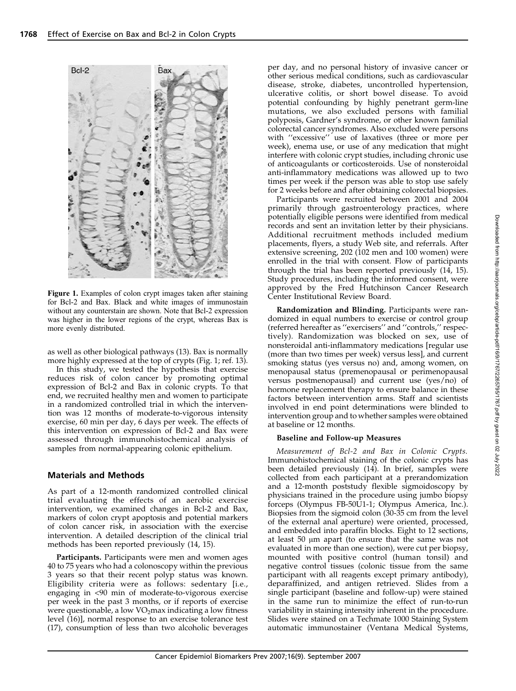

Figure 1. Examples of colon crypt images taken after staining for Bcl-2 and Bax. Black and white images of immunostain without any counterstain are shown. Note that Bcl-2 expression was higher in the lower regions of the crypt, whereas Bax is more evenly distributed.

as well as other biological pathways (13). Bax is normally more highly expressed at the top of crypts (Fig. 1; ref. 13).

In this study, we tested the hypothesis that exercise reduces risk of colon cancer by promoting optimal expression of Bcl-2 and Bax in colonic crypts. To that end, we recruited healthy men and women to participate in a randomized controlled trial in which the intervention was 12 months of moderate-to-vigorous intensity exercise, 60 min per day, 6 days per week. The effects of this intervention on expression of Bcl-2 and Bax were assessed through immunohistochemical analysis of samples from normal-appearing colonic epithelium.

#### Materials and Methods

As part of a 12-month randomized controlled clinical trial evaluating the effects of an aerobic exercise intervention, we examined changes in Bcl-2 and Bax, markers of colon crypt apoptosis and potential markers of colon cancer risk, in association with the exercise intervention. A detailed description of the clinical trial methods has been reported previously (14, 15).

Participants. Participants were men and women ages 40 to 75 years who had a colonoscopy within the previous 3 years so that their recent polyp status was known. Eligibility criteria were as follows: sedentary [i.e., engaging in <90 min of moderate-to-vigorous exercise per week in the past 3 months, or if reports of exercise were questionable, a low  $VO<sub>2</sub>$ max indicating a low fitness level (16)], normal response to an exercise tolerance test (17), consumption of less than two alcoholic beverages per day, and no personal history of invasive cancer or other serious medical conditions, such as cardiovascular disease, stroke, diabetes, uncontrolled hypertension, ulcerative colitis, or short bowel disease. To avoid potential confounding by highly penetrant germ-line mutations, we also excluded persons with familial polyposis, Gardner's syndrome, or other known familial colorectal cancer syndromes. Also excluded were persons with ''excessive'' use of laxatives (three or more per week), enema use, or use of any medication that might interfere with colonic crypt studies, including chronic use of anticoagulants or corticosteroids. Use of nonsteroidal anti-inflammatory medications was allowed up to two times per week if the person was able to stop use safely for 2 weeks before and after obtaining colorectal biopsies.

Participants were recruited between 2001 and 2004 primarily through gastroenterology practices, where potentially eligible persons were identified from medical records and sent an invitation letter by their physicians. Additional recruitment methods included medium placements, flyers, a study Web site, and referrals. After extensive screening, 202 (102 men and 100 women) were enrolled in the trial with consent. Flow of participants through the trial has been reported previously (14, 15). Study procedures, including the informed consent, were approved by the Fred Hutchinson Cancer Research Center Institutional Review Board.

Randomization and Blinding. Participants were randomized in equal numbers to exercise or control group (referred hereafter as ''exercisers'' and ''controls,'' respectively). Randomization was blocked on sex, use of nonsteroidal anti-inflammatory medications [regular use (more than two times per week) versus less], and current smoking status (yes versus no) and, among women, on menopausal status (premenopausal or perimenopausal versus postmenopausal) and current use (yes/no) of hormone replacement therapy to ensure balance in these factors between intervention arms. Staff and scientists involved in end point determinations were blinded to intervention group and to whether samples were obtained at baseline or 12 months.

### Baseline and Follow-up Measures

Measurement of Bcl-2 and Bax in Colonic Crypts. Immunohistochemical staining of the colonic crypts has been detailed previously (14). In brief, samples were collected from each participant at a prerandomization and a 12-month poststudy flexible sigmoidoscopy by physicians trained in the procedure using jumbo biopsy forceps (Olympus FB-50U1-1; Olympus America, Inc.). Biopsies from the sigmoid colon (30-35 cm from the level of the external anal aperture) were oriented, processed, and embedded into paraffin blocks. Eight to 12 sections, at least  $50 \mu m$  apart (to ensure that the same was not evaluated in more than one section), were cut per biopsy, mounted with positive control (human tonsil) and negative control tissues (colonic tissue from the same participant with all reagents except primary antibody), deparaffinized, and antigen retrieved. Slides from a single participant (baseline and follow-up) were stained in the same run to minimize the effect of run-to-run variability in staining intensity inherent in the procedure. Slides were stained on a Techmate 1000 Staining System automatic immunostainer (Ventana Medical Systems,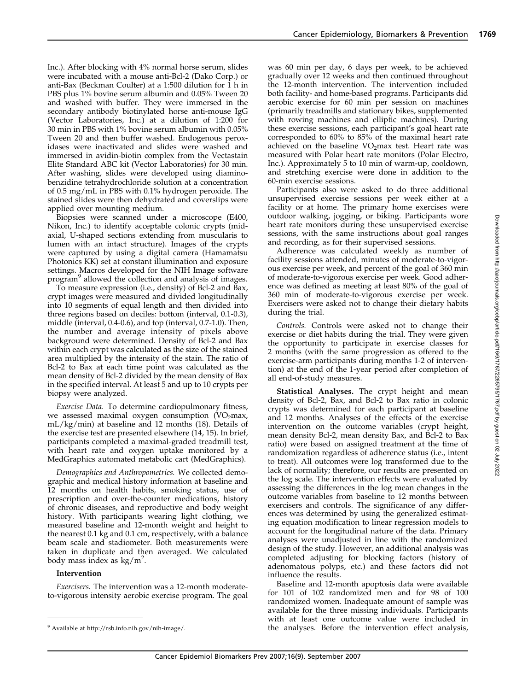Inc.). After blocking with 4% normal horse serum, slides were incubated with a mouse anti-Bcl-2 (Dako Corp.) or anti-Bax (Beckman Coulter) at a 1:500 dilution for  $\overline{1}$  h in PBS plus 1% bovine serum albumin and 0.05% Tween 20 and washed with buffer. They were immersed in the secondary antibody biotinylated horse anti-mouse IgG (Vector Laboratories, Inc.) at a dilution of 1:200 for 30 min in PBS with 1% bovine serum albumin with 0.05% Tween 20 and then buffer washed. Endogenous peroxidases were inactivated and slides were washed and immersed in avidin-biotin complex from the Vectastain Elite Standard ABC kit (Vector Laboratories) for 30 min. After washing, slides were developed using diaminobenzidine tetrahydrochloride solution at a concentration of 0.5 mg/mL in PBS with 0.1% hydrogen peroxide. The stained slides were then dehydrated and coverslips were applied over mounting medium.

Biopsies were scanned under a microscope (E400, Nikon, Inc.) to identify acceptable colonic crypts (midaxial, U-shaped sections extending from muscularis to lumen with an intact structure). Images of the crypts were captured by using a digital camera (Hamamatsu Photonics KK) set at constant illumination and exposure settings. Macros developed for the NIH Image software program<sup>9</sup> allowed the collection and analysis of images.

To measure expression (i.e., density) of Bcl-2 and Bax, crypt images were measured and divided longitudinally into 10 segments of equal length and then divided into three regions based on deciles: bottom (interval, 0.1-0.3), middle (interval, 0.4-0.6), and top (interval, 0.7-1.0). Then, the number and average intensity of pixels above background were determined. Density of Bcl-2 and Bax within each crypt was calculated as the size of the stained area multiplied by the intensity of the stain. The ratio of Bcl-2 to Bax at each time point was calculated as the mean density of Bcl-2 divided by the mean density of Bax in the specified interval. At least 5 and up to 10 crypts per biopsy were analyzed.

Exercise Data. To determine cardiopulmonary fitness, we assessed maximal oxygen consumption  $(VO<sub>2</sub>max,$ mL/kg/min) at baseline and 12 months (18). Details of the exercise test are presented elsewhere (14, 15). In brief, participants completed a maximal-graded treadmill test, with heart rate and oxygen uptake monitored by a MedGraphics automated metabolic cart (MedGraphics).

Demographics and Anthropometrics. We collected demographic and medical history information at baseline and 12 months on health habits, smoking status, use of prescription and over-the-counter medications, history of chronic diseases, and reproductive and body weight history. With participants wearing light clothing, we measured baseline and 12-month weight and height to the nearest 0.1 kg and 0.1 cm, respectively, with a balance beam scale and stadiometer. Both measurements were taken in duplicate and then averaged. We calculated body mass index as  $\text{kg/m}^2$ .

#### Intervention

Exercisers. The intervention was a 12-month moderateto-vigorous intensity aerobic exercise program. The goal was 60 min per day, 6 days per week, to be achieved gradually over 12 weeks and then continued throughout the 12-month intervention. The intervention included both facility- and home-based programs. Participants did aerobic exercise for 60 min per session on machines (primarily treadmills and stationary bikes, supplemented with rowing machines and elliptic machines). During these exercise sessions, each participant's goal heart rate corresponded to 60% to 85% of the maximal heart rate achieved on the baseline  $VO<sub>2</sub>$ max test. Heart rate was measured with Polar heart rate monitors (Polar Electro, Inc.). Approximately 5 to 10 min of warm-up, cooldown, and stretching exercise were done in addition to the 60-min exercise sessions.

Participants also were asked to do three additional unsupervised exercise sessions per week either at a facility or at home. The primary home exercises were outdoor walking, jogging, or biking. Participants wore heart rate monitors during these unsupervised exercise sessions, with the same instructions about goal ranges and recording, as for their supervised sessions.

Adherence was calculated weekly as number of facility sessions attended, minutes of moderate-to-vigorous exercise per week, and percent of the goal of 360 min of moderate-to-vigorous exercise per week. Good adherence was defined as meeting at least 80% of the goal of 360 min of moderate-to-vigorous exercise per week. Exercisers were asked not to change their dietary habits during the trial.

Controls. Controls were asked not to change their exercise or diet habits during the trial. They were given the opportunity to participate in exercise classes for 2 months (with the same progression as offered to the exercise-arm participants during months 1-2 of intervention) at the end of the 1-year period after completion of all end-of-study measures.

Statistical Analyses. The crypt height and mean density of Bcl-2, Bax, and Bcl-2 to Bax ratio in colonic crypts was determined for each participant at baseline and 12 months. Analyses of the effects of the exercise intervention on the outcome variables (crypt height, mean density Bcl-2, mean density Bax, and Bcl-2 to Bax ratio) were based on assigned treatment at the time of randomization regardless of adherence status (i.e., intent to treat). All outcomes were log transformed due to the lack of normality; therefore, our results are presented on the log scale. The intervention effects were evaluated by assessing the differences in the log mean changes in the outcome variables from baseline to 12 months between exercisers and controls. The significance of any differences was determined by using the generalized estimating equation modification to linear regression models to account for the longitudinal nature of the data. Primary analyses were unadjusted in line with the randomized design of the study. However, an additional analysis was completed adjusting for blocking factors (history of adenomatous polyps, etc.) and these factors did not influence the results.

Baseline and 12-month apoptosis data were available for 101 of 102 randomized men and for 98 of 100 randomized women. Inadequate amount of sample was available for the three missing individuals. Participants with at least one outcome value were included in <sup>9</sup> Available at http://rsb.info.nih.gov/nih-image/. **the analyses.** Before the intervention effect analysis,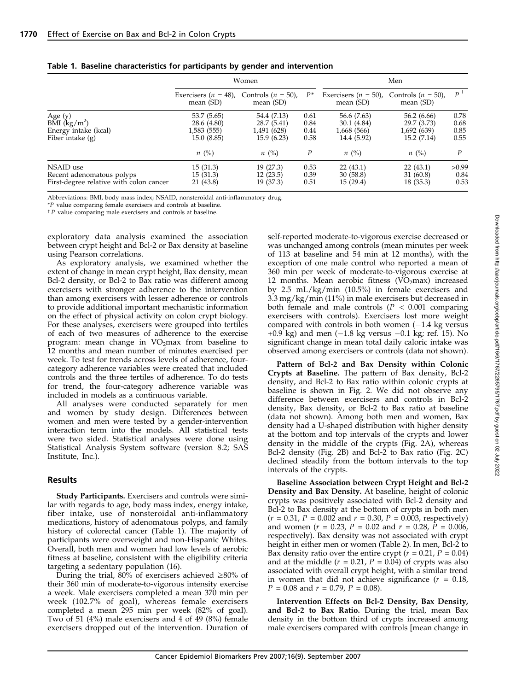|                                                                                   | Women                                                   |                                                          |                              | Men                                                      |                                                          |                              |  |
|-----------------------------------------------------------------------------------|---------------------------------------------------------|----------------------------------------------------------|------------------------------|----------------------------------------------------------|----------------------------------------------------------|------------------------------|--|
|                                                                                   | Exercisers $(n = 48)$ ,<br>mean $(SD)$                  | Controls $(n = 50)$ ,<br>mean (SD)                       | $P^*$                        | Exercisers $(n = 50)$ ,<br>mean $(SD)$                   | Controls $(n = 50)$ ,<br>mean (SD)                       | P                            |  |
| Age $(y)$<br>BMI $(kg/m^2)$<br>Energy intake (kcal)<br>Fiber intake $(g)$         | 53.7 (5.65)<br>28.6 (4.80)<br>1,583 (555)<br>15.0(8.85) | 54.4 (7.13)<br>28.7 (5.41)<br>1,491 (628)<br>15.9 (6.23) | 0.61<br>0.84<br>0.44<br>0.58 | 56.6 (7.63)<br>30.1 (4.84)<br>1,668 (566)<br>14.4 (5.92) | 56.2 (6.66)<br>29.7 (3.73)<br>1,692 (639)<br>15.2 (7.14) | 0.78<br>0.68<br>0.85<br>0.55 |  |
|                                                                                   | $n \ (\%)$                                              | $n \ (\%)$                                               | $\boldsymbol{P}$             | $n \ (\%)$                                               | $n \ (\%)$                                               | P                            |  |
| NSAID use<br>Recent adenomatous polyps<br>First-degree relative with colon cancer | 15(31.3)<br>15 (31.3)<br>21 (43.8)                      | 19 (27.3)<br>12(23.5)<br>19 (37.3)                       | 0.53<br>0.39<br>0.51         | 22(43.1)<br>30(58.8)<br>15(29.4)                         | 22(43.1)<br>31 (60.8)<br>18 (35.3)                       | >0.99<br>0.84<br>0.53        |  |

Table 1. Baseline characteristics for participants by gender and intervention

Abbreviations: BMI, body mass index; NSAID, nonsteroidal anti-inflammatory drug.

\*P value comparing female exercisers and controls at baseline.

 $\uparrow$  P value comparing male exercisers and controls at baseline.

exploratory data analysis examined the association between crypt height and Bcl-2 or Bax density at baseline using Pearson correlations.

As exploratory analysis, we examined whether the extent of change in mean crypt height, Bax density, mean Bcl-2 density, or Bcl-2 to Bax ratio was different among exercisers with stronger adherence to the intervention than among exercisers with lesser adherence or controls to provide additional important mechanistic information on the effect of physical activity on colon crypt biology. For these analyses, exercisers were grouped into tertiles of each of two measures of adherence to the exercise program: mean change in  $VO<sub>2</sub>$  max from baseline to 12 months and mean number of minutes exercised per week. To test for trends across levels of adherence, fourcategory adherence variables were created that included controls and the three tertiles of adherence. To do tests for trend, the four-category adherence variable was included in models as a continuous variable.

All analyses were conducted separately for men and women by study design. Differences between women and men were tested by a gender-intervention interaction term into the models. All statistical tests were two sided. Statistical analyses were done using Statistical Analysis System software (version 8.2; SAS Institute, Inc.).

#### Results

Study Participants. Exercisers and controls were similar with regards to age, body mass index, energy intake, fiber intake, use of nonsteroidal anti-inflammatory medications, history of adenomatous polyps, and family history of colorectal cancer (Table 1). The majority of participants were overweight and non-Hispanic Whites. Overall, both men and women had low levels of aerobic fitness at baseline, consistent with the eligibility criteria targeting a sedentary population (16).

During the trial, 80% of exercisers achieved  $\geq$ 80% of their 360 min of moderate-to-vigorous intensity exercise a week. Male exercisers completed a mean 370 min per week (102.7% of goal), whereas female exercisers completed a mean 295 min per week (82% of goal). Two of 51 (4%) male exercisers and 4 of 49 (8%) female exercisers dropped out of the intervention. Duration of self-reported moderate-to-vigorous exercise decreased or was unchanged among controls (mean minutes per week of 113 at baseline and 54 min at 12 months), with the exception of one male control who reported a mean of 360 min per week of moderate-to-vigorous exercise at 12 months. Mean aerobic fitness  $(VO<sub>2</sub>max)$  increased by 2.5 mL/kg/min (10.5%) in female exercisers and 3.3 mg/kg/min (11%) in male exercisers but decreased in both female and male controls ( $P < 0.001$  comparing exercisers with controls). Exercisers lost more weight compared with controls in both women  $(-1.4 \text{ kg} \text{ versus}$ +0.9 kg) and men  $(-1.8 \text{ kg} \text{ versus } -0.1 \text{ kg}$ ; ref. 15). No significant change in mean total daily caloric intake was observed among exercisers or controls (data not shown).

Pattern of Bcl-2 and Bax Density within Colonic Crypts at Baseline. The pattern of Bax density, Bcl-2 density, and Bcl-2 to Bax ratio within colonic crypts at baseline is shown in Fig. 2. We did not observe any difference between exercisers and controls in Bcl-2 density, Bax density, or Bcl-2 to Bax ratio at baseline (data not shown). Among both men and women, Bax density had a U-shaped distribution with higher density at the bottom and top intervals of the crypts and lower density in the middle of the crypts (Fig. 2A), whereas Bcl-2 density (Fig. 2B) and Bcl-2 to Bax ratio (Fig. 2C) declined steadily from the bottom intervals to the top intervals of the crypts.

Baseline Association between Crypt Height and Bcl-2 Density and Bax Density. At baseline, height of colonic crypts was positively associated with Bcl-2 density and Bcl-2 to Bax density at the bottom of crypts in both men  $(r = 0.31, P = 0.002$  and  $r = 0.30, P = 0.003$ , respectively) and women ( $r = 0.23$ ,  $P = 0.02$  and  $r = 0.28$ ,  $P = 0.006$ , respectively). Bax density was not associated with crypt height in either men or women (Table 2). In men, Bcl-2 to Bax density ratio over the entire crypt ( $r = 0.21$ ,  $P = 0.04$ ) and at the middle ( $r = 0.21$ ,  $P = 0.04$ ) of crypts was also associated with overall crypt height, with a similar trend in women that did not achieve significance  $(r = 0.18)$ ,  $P = 0.08$  and  $r = 0.79$ ,  $P = 0.08$ ).

Intervention Effects on Bcl-2 Density, Bax Density, and Bcl-2 to Bax Ratio. During the trial, mean Bax density in the bottom third of crypts increased among male exercisers compared with controls [mean change in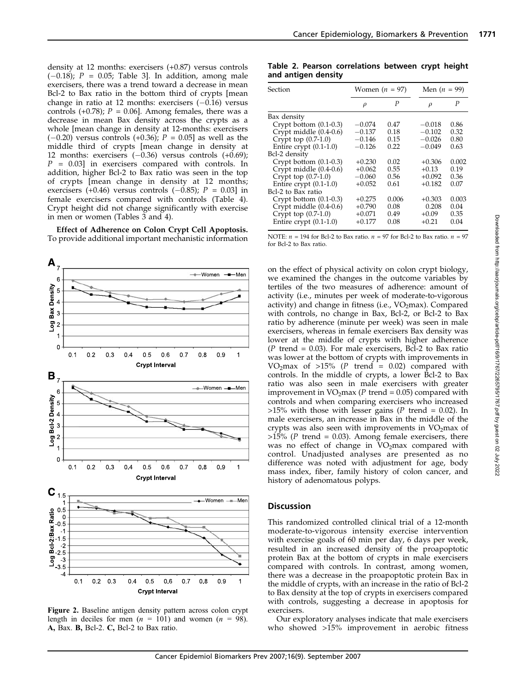density at 12 months: exercisers (+0.87) versus controls  $(-0.18)$ ; P = 0.05; Table 3. In addition, among male exercisers, there was a trend toward a decrease in mean Bcl-2 to Bax ratio in the bottom third of crypts [mean change in ratio at 12 months: exercisers  $(-0.16)$  versus controls (+0.78);  $P = 0.06$ ]. Among females, there was a decrease in mean Bax density across the crypts as a whole [mean change in density at 12-months: exercisers  $(-0.20)$  versus controls  $(+0.36)$ ;  $P = 0.05$ ] as well as the middle third of crypts [mean change in density at 12 months: exercisers  $(-0.36)$  versus controls  $(+0.69)$ ;  $P = 0.03$ ] in exercisers compared with controls. In addition, higher Bcl-2 to Bax ratio was seen in the top of crypts [mean change in density at 12 months; exercisers (+0.46) versus controls (-0.85);  $P = 0.03$ ] in female exercisers compared with controls (Table 4). Crypt height did not change significantly with exercise in men or women (Tables  $\tilde{3}$  and 4).

Effect of Adherence on Colon Crypt Cell Apoptosis. To provide additional important mechanistic information



Figure 2. Baseline antigen density pattern across colon crypt length in deciles for men ( $n = 101$ ) and women ( $n = 98$ ). A, Bax. B, Bcl-2. C, Bcl-2 to Bax ratio.

Table 2. Pearson correlations between crypt height and antigen density

| Section                  | Women $(n = 97)$ |       |          | Men $(n = 99)$ |  |  |
|--------------------------|------------------|-------|----------|----------------|--|--|
|                          | $\rho$           | P     | $\rho$   | P              |  |  |
| Bax density              |                  |       |          |                |  |  |
| Crypt bottom $(0.1-0.3)$ | $-0.074$         | 0.47  | $-0.018$ | 0.86           |  |  |
| Crypt middle (0.4-0.6)   | $-0.137$         | 0.18  | $-0.102$ | 0.32           |  |  |
| Crypt top $(0.7-1.0)$    | $-0.146$         | 0.15  | $-0.026$ | 0.80           |  |  |
| Entire crypt $(0.1-1.0)$ | $-0.126$         | 0.22  | $-0.049$ | 0.63           |  |  |
| Bcl-2 density            |                  |       |          |                |  |  |
| Crypt bottom $(0.1-0.3)$ | $+0.230$         | 0.02  | $+0.306$ | 0.002          |  |  |
| Crypt middle $(0.4-0.6)$ | $+0.062$         | 0.55  | $+0.13$  | 0.19           |  |  |
| Crypt top $(0.7-1.0)$    | $-0.060$         | 0.56  | $+0.092$ | 0.36           |  |  |
| Entire crypt $(0.1-1.0)$ | $+0.052$         | 0.61  | $+0.182$ | 0.07           |  |  |
| Bcl-2 to Bax ratio       |                  |       |          |                |  |  |
| Crypt bottom $(0.1-0.3)$ | $+0.275$         | 0.006 | $+0.303$ | 0.003          |  |  |
| Crypt middle $(0.4-0.6)$ | $+0.790$         | 0.08  | 0.208    | 0.04           |  |  |
| Crypt top $(0.7-1.0)$    | $+0.071$         | 0.49  | $+0.09$  | 0.35           |  |  |
| Entire crypt $(0.1-1.0)$ | $+0.177$         | 0.08  | $+0.21$  | 0.04           |  |  |

NOTE:  $n = 194$  for Bcl-2 to Bax ratio.  $n = 97$  for Bcl-2 to Bax ratio.  $n = 97$ for Bcl-2 to Bax ratio.

on the effect of physical activity on colon crypt biology, we examined the changes in the outcome variables by tertiles of the two measures of adherence: amount of activity (i.e., minutes per week of moderate-to-vigorous activity) and change in fitness (i.e.,  $VO<sub>2</sub>max$ ). Compared with controls, no change in Bax, Bcl-2, or Bcl-2 to Bax ratio by adherence (minute per week) was seen in male exercisers, whereas in female exercisers Bax density was lower at the middle of crypts with higher adherence  $(P$  trend = 0.03). For male exercisers, Bcl-2 to Bax ratio was lower at the bottom of crypts with improvements in VO<sub>2</sub>max of >15% (P trend = 0.02) compared with controls. In the middle of crypts, a lower Bcl-2 to Bax ratio was also seen in male exercisers with greater improvement in  $VO<sub>2</sub>max (P trend = 0.05) compared with$ controls and when comparing exercisers who increased  $>15\%$  with those with lesser gains (P trend = 0.02). In male exercisers, an increase in Bax in the middle of the crypts was also seen with improvements in  $VO<sub>2</sub>$ max of >15% (P trend = 0.03). Among female exercisers, there was no effect of change in VO<sub>2</sub>max compared with control. Unadjusted analyses are presented as no difference was noted with adjustment for age, body mass index, fiber, family history of colon cancer, and history of adenomatous polyps.

## **Discussion**

This randomized controlled clinical trial of a 12-month moderate-to-vigorous intensity exercise intervention with exercise goals of 60 min per day, 6 days per week, resulted in an increased density of the proapoptotic protein Bax at the bottom of crypts in male exercisers compared with controls. In contrast, among women, there was a decrease in the proapoptotic protein Bax in the middle of crypts, with an increase in the ratio of Bcl-2 to Bax density at the top of crypts in exercisers compared with controls, suggesting a decrease in apoptosis for exercisers.

Our exploratory analyses indicate that male exercisers who showed >15% improvement in aerobic fitness 1771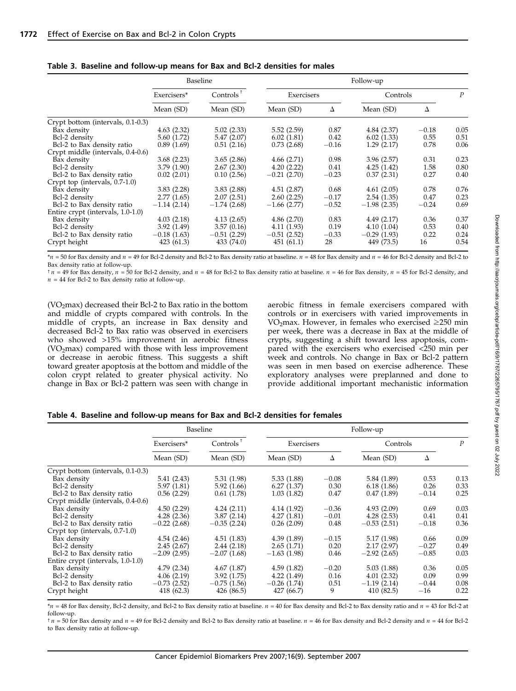|                                   | Baseline      |               | Follow-up     |         |               |         |                  |
|-----------------------------------|---------------|---------------|---------------|---------|---------------|---------|------------------|
|                                   | Exercisers*   | Controls      | Exercisers    |         | Controls      |         | $\boldsymbol{P}$ |
|                                   | Mean (SD)     | Mean (SD)     | Mean (SD)     | Δ       | Mean (SD)     | Δ       |                  |
| Crypt bottom (intervals, 0.1-0.3) |               |               |               |         |               |         |                  |
| Bax density                       | 4.63(2.32)    | 5.02(2.33)    | 5.52(2.59)    | 0.87    | 4.84(2.37)    | $-0.18$ | 0.05             |
| Bcl-2 density                     | 5.60 (1.72)   | 5.47(2.07)    | 6.02(1.81)    | 0.42    | 6.02(1.33)    | 0.55    | 0.51             |
| Bcl-2 to Bax density ratio        | 0.89(1.69)    | 0.51(2.16)    | 0.73(2.68)    | $-0.16$ | 1.29(2.17)    | 0.78    | 0.06             |
| Crypt middle (intervals, 0.4-0.6) |               |               |               |         |               |         |                  |
| Bax density                       | 3.68(2.23)    | 3.65(2.86)    | 4.66(2.71)    | 0.98    | 3.96(2.57)    | 0.31    | 0.23             |
| Bcl-2 density                     | 3.79(1.90)    | 2.67(2.30)    | 4.20(2.22)    | 0.41    | 4.25(1.42)    | 1.58    | 0.80             |
| Bcl-2 to Bax density ratio        | 0.02(2.01)    | 0.10(2.56)    | $-0.21(2.70)$ | $-0.23$ | 0.37(2.31)    | 0.27    | 0.40             |
| Crypt top (intervals, 0.7-1.0)    |               |               |               |         |               |         |                  |
| Bax density                       | 3.83(2.28)    | 3.83(2.88)    | 4.51(2.87)    | 0.68    | 4.61(2.05)    | 0.78    | 0.76             |
| Bcl-2 density                     | 2.77(1.65)    | 2.07(2.51)    | 2.60(2.25)    | $-0.17$ | 2.54(1.35)    | 0.47    | 0.23             |
| Bcl-2 to Bax density ratio        | $-1.14(2.14)$ | $-1.74(2.68)$ | $-1.66(2.77)$ | $-0.52$ | $-1.98(2.35)$ | $-0.24$ | 0.69             |
| Entire crypt (intervals, 1.0-1.0) |               |               |               |         |               |         |                  |
| Bax density                       | 4.03(2.18)    | 4.13(2.65)    | 4.86(2.70)    | 0.83    | 4.49(2.17)    | 0.36    | 0.37             |
| Bcl-2 density                     | 3.92(1.49)    | 3.57(0.16)    | 4.11 (1.93)   | 0.19    | 4.10(1.04)    | 0.53    | 0.40             |
| Bcl-2 to Bax density ratio        | $-0.18(1.63)$ | $-0.51(2.29)$ | $-0.51(2.52)$ | $-0.33$ | $-0.29(1.93)$ | 0.22    | 0.24             |
| Crypt height                      | 423 (61.3)    | 433 (74.0)    | 451(61.1)     | 28      | 449 (73.5)    | 16      | 0.54             |

Table 3. Baseline and follow-up means for Bax and Bcl-2 densities for males

 $n = 50$  for Bax density and  $n = 49$  for Bcl-2 density and Bcl-2 to Bax density ratio at baseline.  $n = 48$  for Bax density and  $n = 46$  for Bcl-2 density and Bcl-2 to Bax density ratio at follow-up.

 $\tau$   $n = 49$  for Bax density,  $n = 50$  for Bcl-2 density, and  $n = 48$  for Bcl-2 to Bax density ratio at baseline.  $n = 46$  for Bax density,  $n = 45$  for Bcl-2 density, and  $n = 44$  for Bcl-2 to Bax density ratio at follow-up.

(VO<sub>2</sub>max) decreased their Bcl-2 to Bax ratio in the bottom and middle of crypts compared with controls. In the middle of crypts, an increase in Bax density and decreased Bcl-2 to Bax ratio was observed in exercisers who showed >15% improvement in aerobic fitness  $(VO<sub>2</sub>max)$  compared with those with less improvement or decrease in aerobic fitness. This suggests a shift toward greater apoptosis at the bottom and middle of the colon crypt related to greater physical activity. No change in Bax or Bcl-2 pattern was seen with change in aerobic fitness in female exercisers compared with controls or in exercisers with varied improvements in VO<sub>2</sub>max. However, in females who exercised  $\geq$ 250 min per week, there was a decrease in Bax at the middle of crypts, suggesting a shift toward less apoptosis, compared with the exercisers who exercised <250 min per week and controls. No change in Bax or Bcl-2 pattern was seen in men based on exercise adherence. These exploratory analyses were preplanned and done to provide additional important mechanistic information

Table 4. Baseline and follow-up means for Bax and Bcl-2 densities for females

|                                   | Baseline                 |               | Follow-up     |         |               |         |                  |
|-----------------------------------|--------------------------|---------------|---------------|---------|---------------|---------|------------------|
|                                   | Exercisers*<br>Mean (SD) | Controls      | Exercisers    |         | Controls      |         | $\boldsymbol{P}$ |
|                                   |                          | Mean (SD)     | Mean (SD)     | Δ       | Mean (SD)     | Δ       |                  |
| Crypt bottom (intervals, 0.1-0.3) |                          |               |               |         |               |         |                  |
| Bax density                       | 5.41(2.43)               | 5.31 (1.98)   | 5.33(1.88)    | $-0.08$ | 5.84 (1.89)   | 0.53    | 0.13             |
| Bcl-2 density                     | 5.97 (1.81)              | 5.92(1.66)    | 6.27(1.37)    | 0.30    | 6.18(1.86)    | 0.26    | 0.33             |
| Bcl-2 to Bax density ratio        | 0.56(2.29)               | 0.61(1.78)    | 1.03(1.82)    | 0.47    | 0.47(1.89)    | $-0.14$ | 0.25             |
| Crypt middle (intervals, 0.4-0.6) |                          |               |               |         |               |         |                  |
| Bax density                       | 4.50(2.29)               | 4.24(2.11)    | 4.14(1.92)    | $-0.36$ | 4.93(2.09)    | 0.69    | 0.03             |
| Bcl-2 density                     | 4.28(2.36)               | 3.87(2.14)    | 4.27(1.81)    | $-0.01$ | 4.28(2.53)    | 0.41    | 0.41             |
| Bcl-2 to Bax density ratio        | $-0.22(2.68)$            | $-0.35(2.24)$ | 0.26(2.09)    | 0.48    | $-0.53(2.51)$ | $-0.18$ | 0.36             |
| Crypt top (intervals, 0.7-1.0)    |                          |               |               |         |               |         |                  |
| Bax density                       | 4.54(2.46)               | 4.51(1.83)    | 4.39(1.89)    | $-0.15$ | 5.17 (1.98)   | 0.66    | 0.09             |
| Bcl-2 density                     | 2.45(2.67)               | 2.44(2.18)    | 2.65(1.71)    | 0.20    | 2.17(2.97)    | $-0.27$ | 0.49             |
| Bcl-2 to Bax density ratio        | $-2.09(2.95)$            | $-2.07(1.68)$ | $-1.63(1.98)$ | 0.46    | $-2.92(2.65)$ | $-0.85$ | 0.03             |
| Entire crypt (intervals, 1.0-1.0) |                          |               |               |         |               |         |                  |
| Bax density                       | 4.79(2.34)               | 4.67(1.87)    | 4.59(1.82)    | $-0.20$ | 5.03(1.88)    | 0.36    | 0.05             |
| Bcl-2 density                     | 4.06(2.19)               | 3.92(1.75)    | 4.22(1.49)    | 0.16    | 4.01(2.32)    | 0.09    | 0.99             |
| Bcl-2 to Bax density ratio        | $-0.73(2.52)$            | $-0.75(1.56)$ | $-0.26(1.74)$ | 0.51    | $-1.19(2.14)$ | $-0.44$ | 0.08             |
| Crypt height                      | 418 (62.3)               | 426 (86.5)    | 427 (66.7)    | 9       | 410 (82.5)    | $-16$   | 0.22             |

 $*_n$  = 48 for Bax density, Bcl-2 density, and Bcl-2 to Bax density ratio at baseline.  $n = 40$  for Bax density and Bcl-2 to Bax density ratio and  $n = 43$  for Bcl-2 at follow-up.

 $\tau$   $n = 50$  for Bax density and  $n = 49$  for Bcl-2 density and Bcl-2 to Bax density ratio at baseline.  $n = 46$  for Bax density and Bcl-2 density and  $n = 44$  for Bcl-2 to Bax density ratio at follow-up.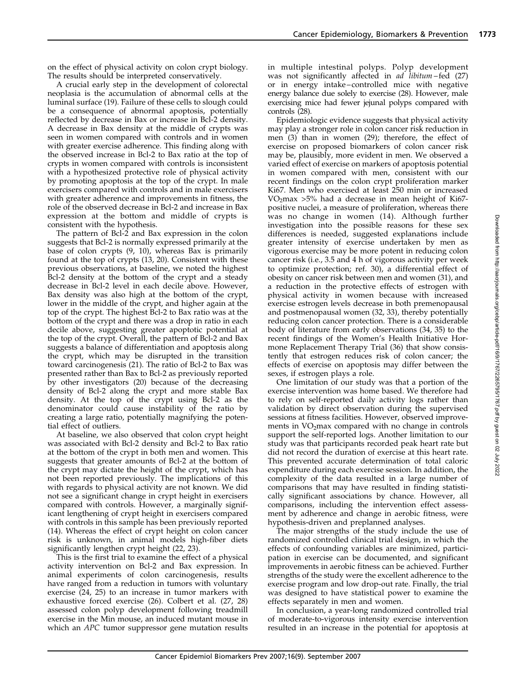on the effect of physical activity on colon crypt biology. The results should be interpreted conservatively.

A crucial early step in the development of colorectal neoplasia is the accumulation of abnormal cells at the luminal surface (19). Failure of these cells to slough could be a consequence of abnormal apoptosis, potentially reflected by decrease in Bax or increase in Bcl-2 density. A decrease in Bax density at the middle of crypts was seen in women compared with controls and in women with greater exercise adherence. This finding along with the observed increase in Bcl-2 to Bax ratio at the top of crypts in women compared with controls is inconsistent with a hypothesized protective role of physical activity by promoting apoptosis at the top of the crypt. In male exercisers compared with controls and in male exercisers with greater adherence and improvements in fitness, the role of the observed decrease in Bcl-2 and increase in Bax expression at the bottom and middle of crypts is consistent with the hypothesis.

The pattern of Bcl-2 and Bax expression in the colon suggests that Bcl-2 is normally expressed primarily at the base of colon crypts (9, 10), whereas Bax is primarily found at the top of crypts (13, 20). Consistent with these previous observations, at baseline, we noted the highest Bcl-2 density at the bottom of the crypt and a steady decrease in Bcl-2 level in each decile above. However, Bax density was also high at the bottom of the crypt, lower in the middle of the crypt, and higher again at the top of the crypt. The highest Bcl-2 to Bax ratio was at the bottom of the crypt and there was a drop in ratio in each decile above, suggesting greater apoptotic potential at the top of the crypt. Overall, the pattern of Bcl-2 and Bax suggests a balance of differentiation and apoptosis along the crypt, which may be disrupted in the transition toward carcinogenesis (21). The ratio of Bcl-2 to Bax was presented rather than Bax to Bcl-2 as previously reported by other investigators (20) because of the decreasing density of Bcl-2 along the crypt and more stable Bax density. At the top of the crypt using Bcl-2 as the denominator could cause instability of the ratio by creating a large ratio, potentially magnifying the potential effect of outliers.

At baseline, we also observed that colon crypt height was associated with Bcl-2 density and Bcl-2 to Bax ratio at the bottom of the crypt in both men and women. This suggests that greater amounts of Bcl-2 at the bottom of the crypt may dictate the height of the crypt, which has not been reported previously. The implications of this with regards to physical activity are not known. We did not see a significant change in crypt height in exercisers compared with controls. However, a marginally significant lengthening of crypt height in exercisers compared with controls in this sample has been previously reported (14). Whereas the effect of crypt height on colon cancer risk is unknown, in animal models high-fiber diets significantly lengthen crypt height (22, 23).

This is the first trial to examine the effect of a physical activity intervention on Bcl-2 and Bax expression. In animal experiments of colon carcinogenesis, results have ranged from a reduction in tumors with voluntary exercise (24, 25) to an increase in tumor markers with exhaustive forced exercise (26). Colbert et al. (27, 28) assessed colon polyp development following treadmill exercise in the Min mouse, an induced mutant mouse in which an APC tumor suppressor gene mutation results in multiple intestinal polyps. Polyp development was not significantly affected in *ad libitum* – fed (27) or in energy intake – controlled mice with negative energy balance due solely to exercise (28). However, male exercising mice had fewer jejunal polyps compared with controls (28).

Epidemiologic evidence suggests that physical activity may play a stronger role in colon cancer risk reduction in men (3) than in women (29); therefore, the effect of exercise on proposed biomarkers of colon cancer risk may be, plausibly, more evident in men. We observed a varied effect of exercise on markers of apoptosis potential in women compared with men, consistent with our recent findings on the colon crypt proliferation marker Ki67. Men who exercised at least 250 min or increased  $VO<sub>2</sub>max >5%$  had a decrease in mean height of Ki67positive nuclei, a measure of proliferation, whereas there was no change in women (14). Although further investigation into the possible reasons for these sex differences is needed, suggested explanations include greater intensity of exercise undertaken by men as vigorous exercise may be more potent in reducing colon cancer risk (i.e., 3.5 and 4 h of vigorous activity per week to optimize protection; ref. 30), a differential effect of obesity on cancer risk between men and women (31), and a reduction in the protective effects of estrogen with physical activity in women because with increased exercise estrogen levels decrease in both premenopausal and postmenopausal women (32, 33), thereby potentially reducing colon cancer protection. There is a considerable body of literature from early observations (34, 35) to the recent findings of the Women's Health Initiative Hormone Replacement Therapy Trial (36) that show consistently that estrogen reduces risk of colon cancer; the effects of exercise on apoptosis may differ between the sexes, if estrogen plays a role.

One limitation of our study was that a portion of the exercise intervention was home based. We therefore had to rely on self-reported daily activity logs rather than validation by direct observation during the supervised sessions at fitness facilities. However, observed improvements in  $VO<sub>2</sub>max$  compared with no change in controls support the self-reported logs. Another limitation to our study was that participants recorded peak heart rate but did not record the duration of exercise at this heart rate. This prevented accurate determination of total caloric expenditure during each exercise session. In addition, the complexity of the data resulted in a large number of comparisons that may have resulted in finding statistically significant associations by chance. However, all comparisons, including the intervention effect assessment by adherence and change in aerobic fitness, were hypothesis-driven and preplanned analyses.

The major strengths of the study include the use of randomized controlled clinical trial design, in which the effects of confounding variables are minimized, participation in exercise can be documented, and significant improvements in aerobic fitness can be achieved. Further strengths of the study were the excellent adherence to the exercise program and low drop-out rate. Finally, the trial was designed to have statistical power to examine the effects separately in men and women.

In conclusion, a year-long randomized controlled trial of moderate-to-vigorous intensity exercise intervention resulted in an increase in the potential for apoptosis at